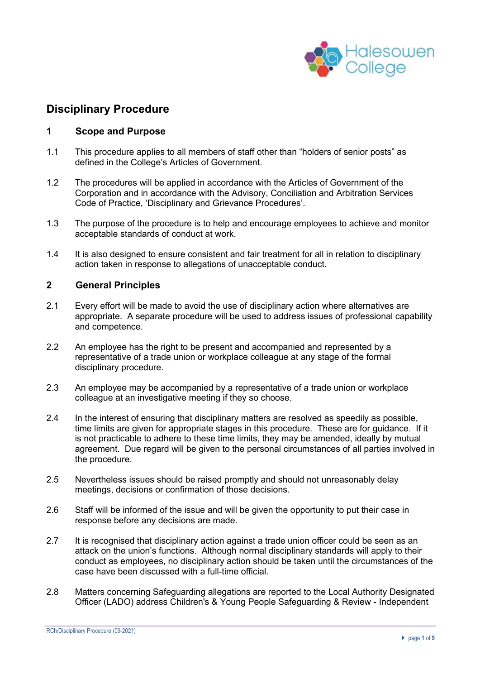

# **Disciplinary Procedure**

### **1 Scope and Purpose**

- 1.1 This procedure applies to all members of staff other than "holders of senior posts" as defined in the College's Articles of Government.
- 1.2 The procedures will be applied in accordance with the Articles of Government of the Corporation and in accordance with the Advisory, Conciliation and Arbitration Services Code of Practice, 'Disciplinary and Grievance Procedures'.
- 1.3 The purpose of the procedure is to help and encourage employees to achieve and monitor acceptable standards of conduct at work.
- 1.4 It is also designed to ensure consistent and fair treatment for all in relation to disciplinary action taken in response to allegations of unacceptable conduct.

### **2 General Principles**

- 2.1 Every effort will be made to avoid the use of disciplinary action where alternatives are appropriate. A separate procedure will be used to address issues of professional capability and competence.
- 2.2 An employee has the right to be present and accompanied and represented by a representative of a trade union or workplace colleague at any stage of the formal disciplinary procedure.
- 2.3 An employee may be accompanied by a representative of a trade union or workplace colleague at an investigative meeting if they so choose.
- 2.4 In the interest of ensuring that disciplinary matters are resolved as speedily as possible, time limits are given for appropriate stages in this procedure. These are for guidance. If it is not practicable to adhere to these time limits, they may be amended, ideally by mutual agreement. Due regard will be given to the personal circumstances of all parties involved in the procedure.
- 2.5 Nevertheless issues should be raised promptly and should not unreasonably delay meetings, decisions or confirmation of those decisions.
- 2.6 Staff will be informed of the issue and will be given the opportunity to put their case in response before any decisions are made.
- 2.7 It is recognised that disciplinary action against a trade union officer could be seen as an attack on the union's functions. Although normal disciplinary standards will apply to their conduct as employees, no disciplinary action should be taken until the circumstances of the case have been discussed with a full-time official.
- 2.8 Matters concerning Safeguarding allegations are reported to the Local Authority Designated Officer (LADO) address Children's & Young People Safeguarding & Review - Independent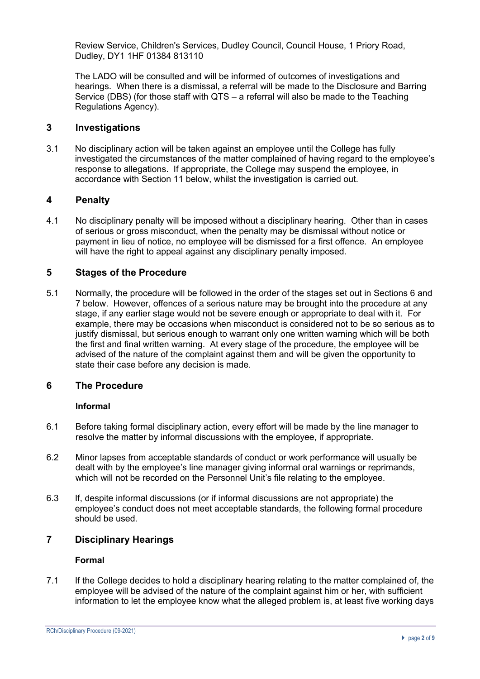Review Service, Children's Services, Dudley Council, Council House, 1 Priory Road, Dudley, DY1 1HF 01384 813110

The LADO will be consulted and will be informed of outcomes of investigations and hearings. When there is a dismissal, a referral will be made to the Disclosure and Barring Service (DBS) (for those staff with QTS – a referral will also be made to the Teaching Regulations Agency).

#### **3 Investigations**

3.1 No disciplinary action will be taken against an employee until the College has fully investigated the circumstances of the matter complained of having regard to the employee's response to allegations. If appropriate, the College may suspend the employee, in accordance with Section 11 below, whilst the investigation is carried out.

# **4 Penalty**

4.1 No disciplinary penalty will be imposed without a disciplinary hearing. Other than in cases of serious or gross misconduct, when the penalty may be dismissal without notice or payment in lieu of notice, no employee will be dismissed for a first offence. An employee will have the right to appeal against any disciplinary penalty imposed.

### **5 Stages of the Procedure**

5.1 Normally, the procedure will be followed in the order of the stages set out in Sections 6 and 7 below. However, offences of a serious nature may be brought into the procedure at any stage, if any earlier stage would not be severe enough or appropriate to deal with it. For example, there may be occasions when misconduct is considered not to be so serious as to justify dismissal, but serious enough to warrant only one written warning which will be both the first and final written warning. At every stage of the procedure, the employee will be advised of the nature of the complaint against them and will be given the opportunity to state their case before any decision is made.

# **6 The Procedure**

#### **Informal**

- 6.1 Before taking formal disciplinary action, every effort will be made by the line manager to resolve the matter by informal discussions with the employee, if appropriate.
- 6.2 Minor lapses from acceptable standards of conduct or work performance will usually be dealt with by the employee's line manager giving informal oral warnings or reprimands, which will not be recorded on the Personnel Unit's file relating to the employee.
- 6.3 If, despite informal discussions (or if informal discussions are not appropriate) the employee's conduct does not meet acceptable standards, the following formal procedure should be used.

# **7 Disciplinary Hearings**

### **Formal**

7.1 If the College decides to hold a disciplinary hearing relating to the matter complained of, the employee will be advised of the nature of the complaint against him or her, with sufficient information to let the employee know what the alleged problem is, at least five working days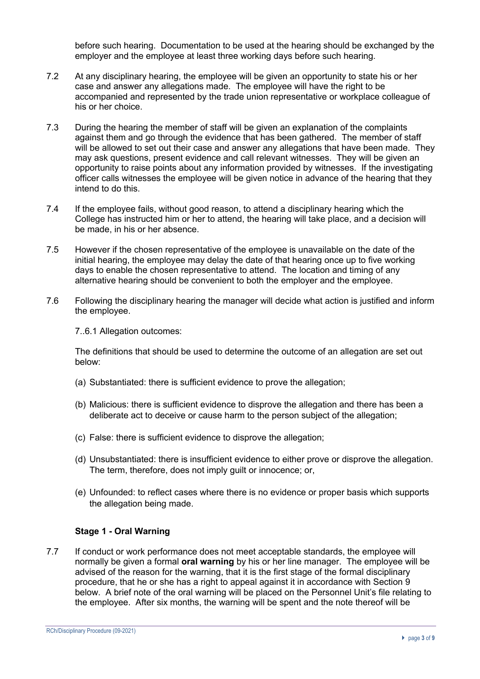before such hearing. Documentation to be used at the hearing should be exchanged by the employer and the employee at least three working days before such hearing.

- 7.2 At any disciplinary hearing, the employee will be given an opportunity to state his or her case and answer any allegations made. The employee will have the right to be accompanied and represented by the trade union representative or workplace colleague of his or her choice.
- 7.3 During the hearing the member of staff will be given an explanation of the complaints against them and go through the evidence that has been gathered. The member of staff will be allowed to set out their case and answer any allegations that have been made. They may ask questions, present evidence and call relevant witnesses. They will be given an opportunity to raise points about any information provided by witnesses. If the investigating officer calls witnesses the employee will be given notice in advance of the hearing that they intend to do this.
- 7.4 If the employee fails, without good reason, to attend a disciplinary hearing which the College has instructed him or her to attend, the hearing will take place, and a decision will be made, in his or her absence.
- 7.5 However if the chosen representative of the employee is unavailable on the date of the initial hearing, the employee may delay the date of that hearing once up to five working days to enable the chosen representative to attend. The location and timing of any alternative hearing should be convenient to both the employer and the employee.
- 7.6 Following the disciplinary hearing the manager will decide what action is justified and inform the employee.

7..6.1 Allegation outcomes:

The definitions that should be used to determine the outcome of an allegation are set out below:

- (a) Substantiated: there is sufficient evidence to prove the allegation;
- (b) Malicious: there is sufficient evidence to disprove the allegation and there has been a deliberate act to deceive or cause harm to the person subject of the allegation;
- (c) False: there is sufficient evidence to disprove the allegation;
- (d) Unsubstantiated: there is insufficient evidence to either prove or disprove the allegation. The term, therefore, does not imply guilt or innocence; or,
- (e) Unfounded: to reflect cases where there is no evidence or proper basis which supports the allegation being made.

#### **Stage 1 - Oral Warning**

7.7 If conduct or work performance does not meet acceptable standards, the employee will normally be given a formal **oral warning** by his or her line manager. The employee will be advised of the reason for the warning, that it is the first stage of the formal disciplinary procedure, that he or she has a right to appeal against it in accordance with Section 9 below. A brief note of the oral warning will be placed on the Personnel Unit's file relating to the employee. After six months, the warning will be spent and the note thereof will be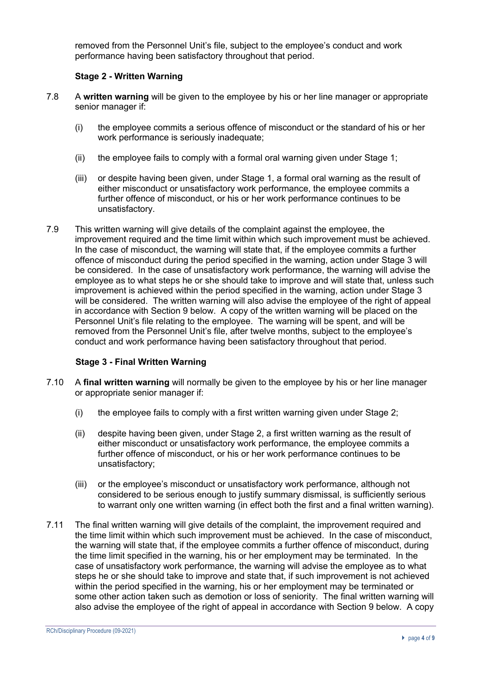removed from the Personnel Unit's file, subject to the employee's conduct and work performance having been satisfactory throughout that period.

#### **Stage 2 - Written Warning**

- 7.8 A **written warning** will be given to the employee by his or her line manager or appropriate senior manager if:
	- (i) the employee commits a serious offence of misconduct or the standard of his or her work performance is seriously inadequate:
	- (ii) the employee fails to comply with a formal oral warning given under Stage 1;
	- (iii) or despite having been given, under Stage 1, a formal oral warning as the result of either misconduct or unsatisfactory work performance, the employee commits a further offence of misconduct, or his or her work performance continues to be unsatisfactory.
- 7.9 This written warning will give details of the complaint against the employee, the improvement required and the time limit within which such improvement must be achieved. In the case of misconduct, the warning will state that, if the employee commits a further offence of misconduct during the period specified in the warning, action under Stage 3 will be considered. In the case of unsatisfactory work performance, the warning will advise the employee as to what steps he or she should take to improve and will state that, unless such improvement is achieved within the period specified in the warning, action under Stage 3 will be considered. The written warning will also advise the employee of the right of appeal in accordance with Section 9 below. A copy of the written warning will be placed on the Personnel Unit's file relating to the employee. The warning will be spent, and will be removed from the Personnel Unit's file, after twelve months, subject to the employee's conduct and work performance having been satisfactory throughout that period.

#### **Stage 3 - Final Written Warning**

- 7.10 A **final written warning** will normally be given to the employee by his or her line manager or appropriate senior manager if:
	- (i) the employee fails to comply with a first written warning given under Stage 2;
	- (ii) despite having been given, under Stage 2, a first written warning as the result of either misconduct or unsatisfactory work performance, the employee commits a further offence of misconduct, or his or her work performance continues to be unsatisfactory;
	- (iii) or the employee's misconduct or unsatisfactory work performance, although not considered to be serious enough to justify summary dismissal, is sufficiently serious to warrant only one written warning (in effect both the first and a final written warning).
- 7.11 The final written warning will give details of the complaint, the improvement required and the time limit within which such improvement must be achieved. In the case of misconduct, the warning will state that, if the employee commits a further offence of misconduct, during the time limit specified in the warning, his or her employment may be terminated. In the case of unsatisfactory work performance, the warning will advise the employee as to what steps he or she should take to improve and state that, if such improvement is not achieved within the period specified in the warning, his or her employment may be terminated or some other action taken such as demotion or loss of seniority. The final written warning will also advise the employee of the right of appeal in accordance with Section 9 below. A copy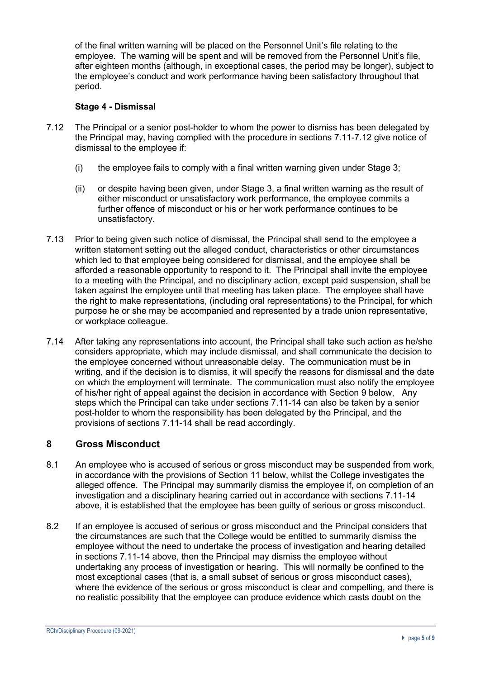of the final written warning will be placed on the Personnel Unit's file relating to the employee. The warning will be spent and will be removed from the Personnel Unit's file, after eighteen months (although, in exceptional cases, the period may be longer), subject to the employee's conduct and work performance having been satisfactory throughout that period.

#### **Stage 4 - Dismissal**

- 7.12 The Principal or a senior post-holder to whom the power to dismiss has been delegated by the Principal may, having complied with the procedure in sections 7.11-7.12 give notice of dismissal to the employee if:
	- (i) the employee fails to comply with a final written warning given under Stage 3;
	- (ii) or despite having been given, under Stage 3, a final written warning as the result of either misconduct or unsatisfactory work performance, the employee commits a further offence of misconduct or his or her work performance continues to be unsatisfactory.
- 7.13 Prior to being given such notice of dismissal, the Principal shall send to the employee a written statement setting out the alleged conduct, characteristics or other circumstances which led to that employee being considered for dismissal, and the employee shall be afforded a reasonable opportunity to respond to it. The Principal shall invite the employee to a meeting with the Principal, and no disciplinary action, except paid suspension, shall be taken against the employee until that meeting has taken place. The employee shall have the right to make representations, (including oral representations) to the Principal, for which purpose he or she may be accompanied and represented by a trade union representative, or workplace colleague.
- 7.14 After taking any representations into account, the Principal shall take such action as he/she considers appropriate, which may include dismissal, and shall communicate the decision to the employee concerned without unreasonable delay. The communication must be in writing, and if the decision is to dismiss, it will specify the reasons for dismissal and the date on which the employment will terminate. The communication must also notify the employee of his/her right of appeal against the decision in accordance with Section 9 below, Any steps which the Principal can take under sections 7.11-14 can also be taken by a senior post-holder to whom the responsibility has been delegated by the Principal, and the provisions of sections 7.11-14 shall be read accordingly.

# **8 Gross Misconduct**

- 8.1 An employee who is accused of serious or gross misconduct may be suspended from work, in accordance with the provisions of Section 11 below, whilst the College investigates the alleged offence. The Principal may summarily dismiss the employee if, on completion of an investigation and a disciplinary hearing carried out in accordance with sections 7.11-14 above, it is established that the employee has been guilty of serious or gross misconduct.
- 8.2 If an employee is accused of serious or gross misconduct and the Principal considers that the circumstances are such that the College would be entitled to summarily dismiss the employee without the need to undertake the process of investigation and hearing detailed in sections 7.11-14 above, then the Principal may dismiss the employee without undertaking any process of investigation or hearing. This will normally be confined to the most exceptional cases (that is, a small subset of serious or gross misconduct cases), where the evidence of the serious or gross misconduct is clear and compelling, and there is no realistic possibility that the employee can produce evidence which casts doubt on the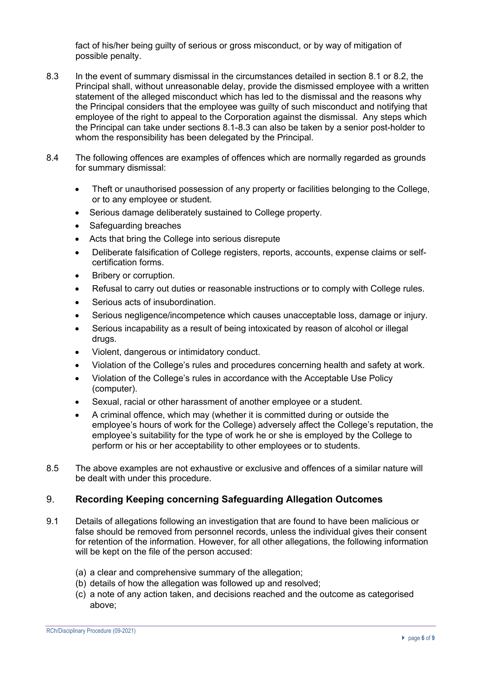fact of his/her being guilty of serious or gross misconduct, or by way of mitigation of possible penalty.

- 8.3 In the event of summary dismissal in the circumstances detailed in section 8.1 or 8.2, the Principal shall, without unreasonable delay, provide the dismissed employee with a written statement of the alleged misconduct which has led to the dismissal and the reasons why the Principal considers that the employee was guilty of such misconduct and notifying that employee of the right to appeal to the Corporation against the dismissal. Any steps which the Principal can take under sections 8.1-8.3 can also be taken by a senior post-holder to whom the responsibility has been delegated by the Principal.
- 8.4 The following offences are examples of offences which are normally regarded as grounds for summary dismissal:
	- Theft or unauthorised possession of any property or facilities belonging to the College, or to any employee or student.
	- Serious damage deliberately sustained to College property.
	- Safeguarding breaches
	- Acts that bring the College into serious disrepute
	- Deliberate falsification of College registers, reports, accounts, expense claims or selfcertification forms.
	- Bribery or corruption.
	- Refusal to carry out duties or reasonable instructions or to comply with College rules.
	- Serious acts of insubordination.
	- Serious negligence/incompetence which causes unacceptable loss, damage or injury.
	- Serious incapability as a result of being intoxicated by reason of alcohol or illegal drugs.
	- Violent, dangerous or intimidatory conduct.
	- Violation of the College's rules and procedures concerning health and safety at work.
	- Violation of the College's rules in accordance with the Acceptable Use Policy (computer).
	- Sexual, racial or other harassment of another employee or a student.
	- A criminal offence, which may (whether it is committed during or outside the employee's hours of work for the College) adversely affect the College's reputation, the employee's suitability for the type of work he or she is employed by the College to perform or his or her acceptability to other employees or to students.
- 8.5 The above examples are not exhaustive or exclusive and offences of a similar nature will be dealt with under this procedure.

# 9. **Recording Keeping concerning Safeguarding Allegation Outcomes**

- 9.1 Details of allegations following an investigation that are found to have been malicious or false should be removed from personnel records, unless the individual gives their consent for retention of the information. However, for all other allegations, the following information will be kept on the file of the person accused:
	- (a) a clear and comprehensive summary of the allegation;
	- (b) details of how the allegation was followed up and resolved;
	- (c) a note of any action taken, and decisions reached and the outcome as categorised above;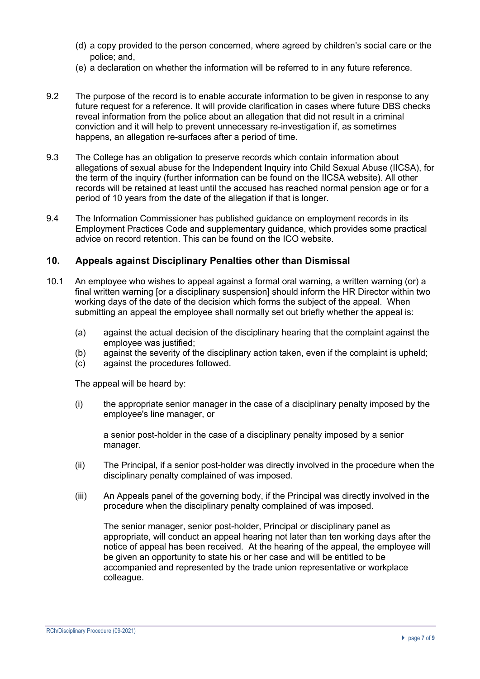- (d) a copy provided to the person concerned, where agreed by children's social care or the police; and,
- (e) a declaration on whether the information will be referred to in any future reference.
- 9.2 The purpose of the record is to enable accurate information to be given in response to any future request for a reference. It will provide clarification in cases where future DBS checks reveal information from the police about an allegation that did not result in a criminal conviction and it will help to prevent unnecessary re-investigation if, as sometimes happens, an allegation re-surfaces after a period of time.
- 9.3 The College has an obligation to preserve records which contain information about allegations of sexual abuse for the Independent Inquiry into Child Sexual Abuse (IICSA), for the term of the inquiry (further information can be found on the IICSA website). All other records will be retained at least until the accused has reached normal pension age or for a period of 10 years from the date of the allegation if that is longer.
- 9.4 The Information Commissioner has published guidance on employment records in its Employment Practices Code and supplementary guidance, which provides some practical advice on record retention. This can be found on the ICO website.

### **10. Appeals against Disciplinary Penalties other than Dismissal**

- 10.1 An employee who wishes to appeal against a formal oral warning, a written warning (or) a final written warning [or a disciplinary suspension] should inform the HR Director within two working days of the date of the decision which forms the subject of the appeal. When submitting an appeal the employee shall normally set out briefly whether the appeal is:
	- (a) against the actual decision of the disciplinary hearing that the complaint against the employee was justified;
	- (b) against the severity of the disciplinary action taken, even if the complaint is upheld;
	- (c) against the procedures followed.

The appeal will be heard by:

(i) the appropriate senior manager in the case of a disciplinary penalty imposed by the employee's line manager, or

a senior post-holder in the case of a disciplinary penalty imposed by a senior manager.

- (ii) The Principal, if a senior post-holder was directly involved in the procedure when the disciplinary penalty complained of was imposed.
- (iii) An Appeals panel of the governing body, if the Principal was directly involved in the procedure when the disciplinary penalty complained of was imposed.

The senior manager, senior post-holder, Principal or disciplinary panel as appropriate, will conduct an appeal hearing not later than ten working days after the notice of appeal has been received. At the hearing of the appeal, the employee will be given an opportunity to state his or her case and will be entitled to be accompanied and represented by the trade union representative or workplace colleague.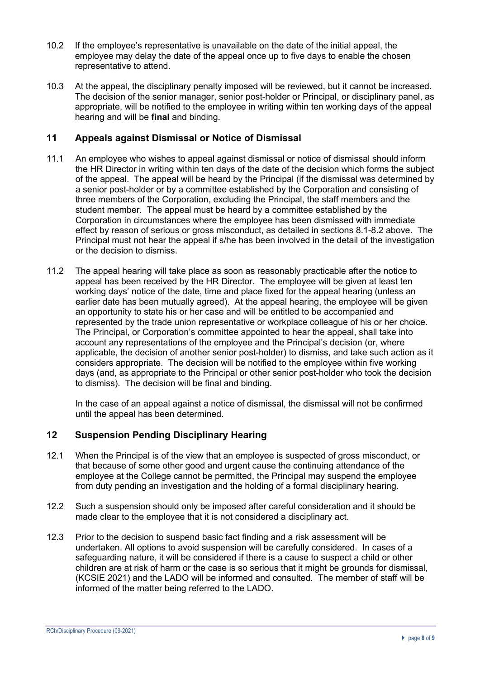- 10.2 If the employee's representative is unavailable on the date of the initial appeal, the employee may delay the date of the appeal once up to five days to enable the chosen representative to attend.
- 10.3 At the appeal, the disciplinary penalty imposed will be reviewed, but it cannot be increased. The decision of the senior manager, senior post-holder or Principal, or disciplinary panel, as appropriate, will be notified to the employee in writing within ten working days of the appeal hearing and will be **final** and binding.

# **11 Appeals against Dismissal or Notice of Dismissal**

- 11.1 An employee who wishes to appeal against dismissal or notice of dismissal should inform the HR Director in writing within ten days of the date of the decision which forms the subject of the appeal. The appeal will be heard by the Principal (if the dismissal was determined by a senior post-holder or by a committee established by the Corporation and consisting of three members of the Corporation, excluding the Principal, the staff members and the student member. The appeal must be heard by a committee established by the Corporation in circumstances where the employee has been dismissed with immediate effect by reason of serious or gross misconduct, as detailed in sections 8.1-8.2 above. The Principal must not hear the appeal if s/he has been involved in the detail of the investigation or the decision to dismiss.
- 11.2 The appeal hearing will take place as soon as reasonably practicable after the notice to appeal has been received by the HR Director. The employee will be given at least ten working days' notice of the date, time and place fixed for the appeal hearing (unless an earlier date has been mutually agreed). At the appeal hearing, the employee will be given an opportunity to state his or her case and will be entitled to be accompanied and represented by the trade union representative or workplace colleague of his or her choice. The Principal, or Corporation's committee appointed to hear the appeal, shall take into account any representations of the employee and the Principal's decision (or, where applicable, the decision of another senior post-holder) to dismiss, and take such action as it considers appropriate. The decision will be notified to the employee within five working days (and, as appropriate to the Principal or other senior post-holder who took the decision to dismiss). The decision will be final and binding.

In the case of an appeal against a notice of dismissal, the dismissal will not be confirmed until the appeal has been determined.

# **12 Suspension Pending Disciplinary Hearing**

- 12.1 When the Principal is of the view that an employee is suspected of gross misconduct, or that because of some other good and urgent cause the continuing attendance of the employee at the College cannot be permitted, the Principal may suspend the employee from duty pending an investigation and the holding of a formal disciplinary hearing.
- 12.2 Such a suspension should only be imposed after careful consideration and it should be made clear to the employee that it is not considered a disciplinary act.
- 12.3 Prior to the decision to suspend basic fact finding and a risk assessment will be undertaken. All options to avoid suspension will be carefully considered. In cases of a safeguarding nature, it will be considered if there is a cause to suspect a child or other children are at risk of harm or the case is so serious that it might be grounds for dismissal, (KCSIE 2021) and the LADO will be informed and consulted. The member of staff will be informed of the matter being referred to the LADO.